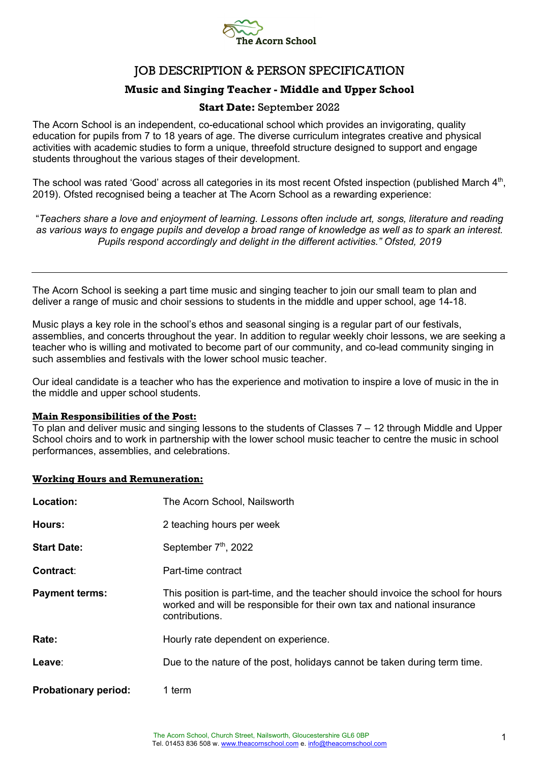

# JOB DESCRIPTION & PERSON SPECIFICATION

## **Music and Singing Teacher - Middle and Upper School**

### **Start Date:** September 2022

The Acorn School is an independent, co-educational school which provides an invigorating, quality education for pupils from 7 to 18 years of age. The diverse curriculum integrates creative and physical activities with academic studies to form a unique, threefold structure designed to support and engage students throughout the various stages of their development.

The school was rated 'Good' across all categories in its most recent Ofsted inspection (published March 4<sup>th</sup>, 2019). Ofsted recognised being a teacher at The Acorn School as a rewarding experience:

"*Teachers share a love and enjoyment of learning. Lessons often include art, songs, literature and reading as various ways to engage pupils and develop a broad range of knowledge as well as to spark an interest. Pupils respond accordingly and delight in the different activities." Ofsted, 2019*

The Acorn School is seeking a part time music and singing teacher to join our small team to plan and deliver a range of music and choir sessions to students in the middle and upper school, age 14-18.

Music plays a key role in the school's ethos and seasonal singing is a regular part of our festivals, assemblies, and concerts throughout the year. In addition to regular weekly choir lessons, we are seeking a teacher who is willing and motivated to become part of our community, and co-lead community singing in such assemblies and festivals with the lower school music teacher.

Our ideal candidate is a teacher who has the experience and motivation to inspire a love of music in the in the middle and upper school students.

#### **Main Responsibilities of the Post:**

To plan and deliver music and singing lessons to the students of Classes 7 – 12 through Middle and Upper School choirs and to work in partnership with the lower school music teacher to centre the music in school performances, assemblies, and celebrations.

#### **Working Hours and Remuneration:**

| Location:                   | The Acorn School, Nailsworth                                                                                                                                                 |
|-----------------------------|------------------------------------------------------------------------------------------------------------------------------------------------------------------------------|
| Hours:                      | 2 teaching hours per week                                                                                                                                                    |
| <b>Start Date:</b>          | September 7 <sup>th</sup> , 2022                                                                                                                                             |
| Contract:                   | Part-time contract                                                                                                                                                           |
| <b>Payment terms:</b>       | This position is part-time, and the teacher should invoice the school for hours<br>worked and will be responsible for their own tax and national insurance<br>contributions. |
| Rate:                       | Hourly rate dependent on experience.                                                                                                                                         |
| Leave:                      | Due to the nature of the post, holidays cannot be taken during term time.                                                                                                    |
| <b>Probationary period:</b> | 1 term                                                                                                                                                                       |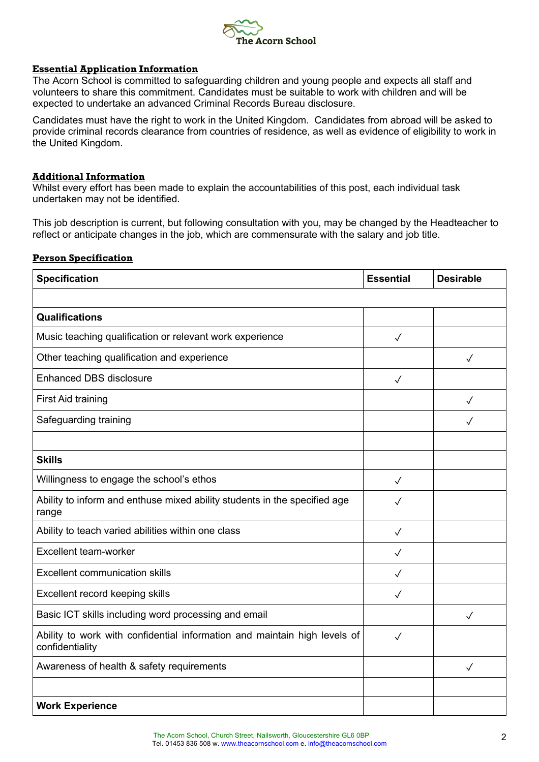

#### **Essential Application Information**

The Acorn School is committed to safeguarding children and young people and expects all staff and volunteers to share this commitment. Candidates must be suitable to work with children and will be expected to undertake an advanced Criminal Records Bureau disclosure.

Candidates must have the right to work in the United Kingdom. Candidates from abroad will be asked to provide criminal records clearance from countries of residence, as well as evidence of eligibility to work in the United Kingdom.

#### **Additional Information**

Whilst every effort has been made to explain the accountabilities of this post, each individual task undertaken may not be identified.

This job description is current, but following consultation with you, may be changed by the Headteacher to reflect or anticipate changes in the job, which are commensurate with the salary and job title.

#### **Person Specification**

| <b>Specification</b>                                                                         | <b>Essential</b> | <b>Desirable</b> |
|----------------------------------------------------------------------------------------------|------------------|------------------|
|                                                                                              |                  |                  |
| Qualifications                                                                               |                  |                  |
| Music teaching qualification or relevant work experience                                     | $\checkmark$     |                  |
| Other teaching qualification and experience                                                  |                  | $\checkmark$     |
| <b>Enhanced DBS disclosure</b>                                                               | $\checkmark$     |                  |
| First Aid training                                                                           |                  | $\checkmark$     |
| Safeguarding training                                                                        |                  | $\checkmark$     |
|                                                                                              |                  |                  |
| <b>Skills</b>                                                                                |                  |                  |
| Willingness to engage the school's ethos                                                     | $\checkmark$     |                  |
| Ability to inform and enthuse mixed ability students in the specified age<br>range           | $\checkmark$     |                  |
| Ability to teach varied abilities within one class                                           | $\checkmark$     |                  |
| Excellent team-worker                                                                        | $\checkmark$     |                  |
| <b>Excellent communication skills</b>                                                        | ✓                |                  |
| Excellent record keeping skills                                                              | $\checkmark$     |                  |
| Basic ICT skills including word processing and email                                         |                  | $\checkmark$     |
| Ability to work with confidential information and maintain high levels of<br>confidentiality | $\checkmark$     |                  |
| Awareness of health & safety requirements                                                    |                  | $\checkmark$     |
|                                                                                              |                  |                  |
| <b>Work Experience</b>                                                                       |                  |                  |